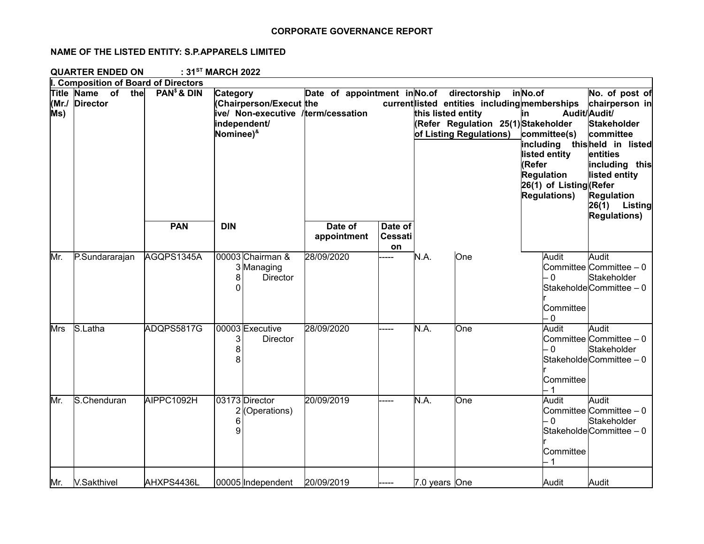## **CORPORATE GOVERNANCE REPORT**

## **NAME OF THE LISTED ENTITY: S.P.APPARELS LIMITED**

**QUARTER ENDED ON : 31ST MARCH 2022**

|              | I. Composition of Board of Directors    |                         |                                                                                                                        |                                           |                                 |                    |                                                                                                                 |                                                                                                                                                                   |                                                                                                                                                                                                   |
|--------------|-----------------------------------------|-------------------------|------------------------------------------------------------------------------------------------------------------------|-------------------------------------------|---------------------------------|--------------------|-----------------------------------------------------------------------------------------------------------------|-------------------------------------------------------------------------------------------------------------------------------------------------------------------|---------------------------------------------------------------------------------------------------------------------------------------------------------------------------------------------------|
| (Mr./<br>Ms) | Title Name<br>of the<br><b>Director</b> | PAN <sup>\$</sup> & DIN | Category<br>(Chairperson/Execut the<br>ive/ Non-executive /term/cessation<br>independent/<br>Nominee) <sup>&amp;</sup> | Date of appointment in No.of directorship |                                 | this listed entity | current listed entities including memberships<br>(Refer Regulation 25(1) Stakeholder<br>of Listing Regulations) | inNo.of<br>lin.<br>committee(s)<br>including thisheld in listed<br>listed entity<br>(Refer<br><b>Regulation</b><br>26(1) of Listing (Refer<br><b>Regulations)</b> | No. of post of<br>chairperson in<br>Audit/Audit/<br><b>Stakeholder</b><br>committee<br>entities<br>including this<br>listed entity<br><b>Regulation</b><br>$26(1)$ Listing<br><b>Regulations)</b> |
|              |                                         | <b>PAN</b>              | <b>DIN</b>                                                                                                             | Date of<br>appointment                    | Date of<br><b>Cessati</b><br>on |                    |                                                                                                                 |                                                                                                                                                                   |                                                                                                                                                                                                   |
| Mr.          | P.Sundararajan                          | AGQPS1345A              | 00003 Chairman &<br>3 Managing<br>8<br><b>Director</b><br>0                                                            | 28/09/2020                                |                                 | N.A.               | One                                                                                                             | Audit<br>$-0$<br>Committee<br>- 0                                                                                                                                 | Audit<br>Committee Committee - 0<br>Stakeholder<br>Stakeholde Committee - 0                                                                                                                       |
| Mrs          | S.Latha                                 | ADQPS5817G              | 00003 Executive<br>3<br><b>Director</b><br>8<br>8                                                                      | 28/09/2020                                |                                 | N.A.               | One                                                                                                             | Audit<br>- 0<br>Committee                                                                                                                                         | Audit<br>Committee Committee - 0<br>Stakeholder<br>Stakeholde Committee - 0                                                                                                                       |
| Mr.          | S.Chenduran                             | AIPPC1092H              | 03173 Director<br>$2$ (Operations)<br>6<br>9                                                                           | 20/09/2019                                |                                 | N.A.               | One                                                                                                             | Audit<br>$-0$<br>Committee<br>-1                                                                                                                                  | Audit<br>Committee Committee - 0<br>Stakeholder<br>Stakeholde Committee - 0                                                                                                                       |
| Mr.          | <b>V.Sakthivel</b>                      | AHXPS4436L              | 00005 Independent                                                                                                      | 20/09/2019                                |                                 | 7.0 years One      |                                                                                                                 | Audit                                                                                                                                                             | Audit                                                                                                                                                                                             |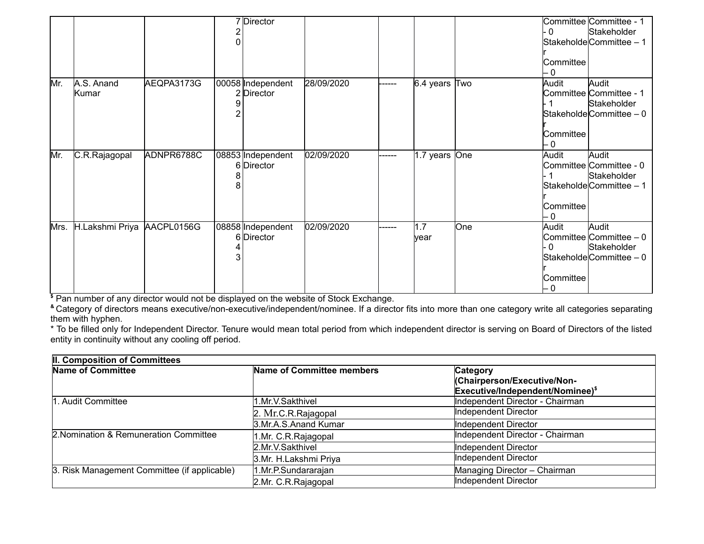|      |                            |            | 7 Director                      |            |         |                    |     | - 0<br>Committee<br>- 0          | Committee Committee - 1<br>Stakeholder<br>StakeholdeCommittee - 1                     |
|------|----------------------------|------------|---------------------------------|------------|---------|--------------------|-----|----------------------------------|---------------------------------------------------------------------------------------|
| Mr.  | A.S. Anand<br>Kumar        | AEQPA3173G | 00058 Independent<br>2 Director | 28/09/2020 | ------  | $6.4$ years $ Two$ |     | Audit<br>Committee<br>- 0        | Audit<br>Committee Committee - 1<br>Stakeholder<br>$\textsf{Statehole}$ Committee – 0 |
| Mr.  | C.R.Rajagopal              | ADNPR6788C | 08853 Independent<br>6 Director | 02/09/2020 | ------- | 1.7 years One      |     | Audit<br>Committee<br>- 0        | Audit<br>Committee Committee - 0<br>Stakeholder<br>StakeholdeCommittee - 1            |
| Mrs. | H.Lakshmi Priya AACPL0156G |            | 08858 Independent<br>6 Director | 02/09/2020 | ------  | 1.7<br>lyear       | One | Audit<br>- 0<br>Committee<br>- 0 | Audit<br>Committee Committee $-0$<br>Stakeholder<br>Stakeholde Committee - 0          |

**\$** Pan number of any director would not be displayed on the website of Stock Exchange.

**&** Category of directors means executive/non-executive/independent/nominee. If a director fits into more than one category write all categories separating them with hyphen.

\* To be filled only for Independent Director. Tenure would mean total period from which independent director is serving on Board of Directors of the listed entity in continuity without any cooling off period.

| II. Composition of Committees                |                           |                                  |  |  |  |
|----------------------------------------------|---------------------------|----------------------------------|--|--|--|
| Name of Committee                            | Name of Committee members | Category                         |  |  |  |
|                                              |                           | (Chairperson/Executive/Non-      |  |  |  |
|                                              |                           | Executive/Independent/Nominee)\$ |  |  |  |
| 1. Audit Committee                           | 1.Mr.V.Sakthivel          | Independent Director - Chairman  |  |  |  |
|                                              | 2. Mr.C.R.Rajagopal       | Independent Director             |  |  |  |
|                                              | 3.Mr.A.S.Anand Kumar      | Independent Director             |  |  |  |
| 2. Nomination & Remuneration Committee       | 1.Mr. C.R.Rajagopal       | Independent Director - Chairman  |  |  |  |
|                                              | 2.Mr.V.Sakthivel          | Independent Director             |  |  |  |
|                                              | 3.Mr. H.Lakshmi Priya     | Independent Director             |  |  |  |
| 3. Risk Management Committee (if applicable) | 1.Mr.P.Sundararajan       | Managing Director - Chairman     |  |  |  |
|                                              | 2.Mr. C.R.Rajagopal       | Independent Director             |  |  |  |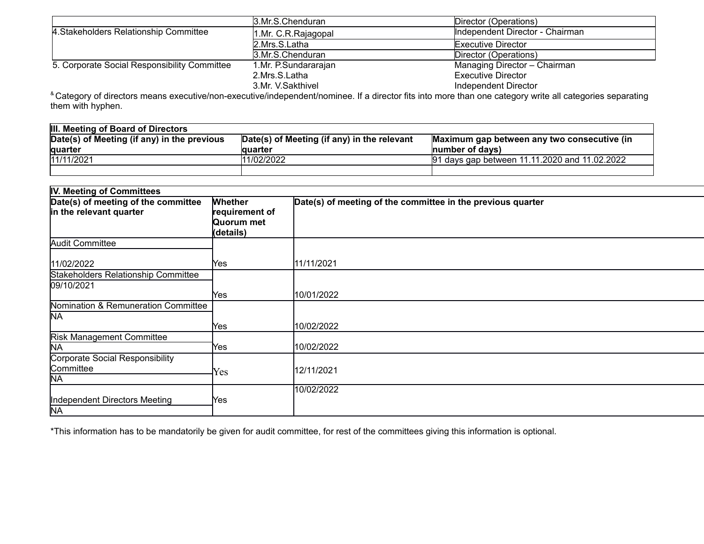|                                              | 3.Mr.S.Chenduran     | Director (Operations)           |
|----------------------------------------------|----------------------|---------------------------------|
| 4. Stakeholders Relationship Committee       | 1.Mr. C.R. Rajagopal | Independent Director - Chairman |
|                                              | 2.Mrs.S.Latha        | Executive Director              |
|                                              | 3.Mr.S.Chenduran     | Director (Operations)           |
| 5. Corporate Social Responsibility Committee | 1.Mr. P.Sundararajan | Managing Director - Chairman    |
|                                              | 2.Mrs.S.Latha        | Executive Director              |
|                                              | 3.Mr. V.Sakthivel    | Independent Director            |

<sup>&</sup> Category of directors means executive/non-executive/independent/nominee. If a director fits into more than one category write all categories separating them with hyphen.

| <b>III. Meeting of Board of Directors</b>   |                                             |                                               |  |  |  |
|---------------------------------------------|---------------------------------------------|-----------------------------------------------|--|--|--|
| Date(s) of Meeting (if any) in the previous | Date(s) of Meeting (if any) in the relevant | Maximum gap between any two consecutive (in   |  |  |  |
| <b>lguarter</b>                             | lauarter                                    | Inumber of davs)                              |  |  |  |
| 11/11/2021                                  | 11/02/2022                                  | 91 days gap between 11.11.2020 and 11.02.2022 |  |  |  |
|                                             |                                             |                                               |  |  |  |

| IV. Meeting of Committees                                      |                                                             |                                                             |  |  |  |
|----------------------------------------------------------------|-------------------------------------------------------------|-------------------------------------------------------------|--|--|--|
| Date(s) of meeting of the committee<br>in the relevant quarter | <b>Whether</b><br>requirement of<br>Quorum met<br>(details) | Date(s) of meeting of the committee in the previous quarter |  |  |  |
| <b>Audit Committee</b>                                         |                                                             |                                                             |  |  |  |
| 11/02/2022                                                     | lYes.                                                       | 11/11/2021                                                  |  |  |  |
| Stakeholders Relationship Committee<br>09/10/2021              | Yes                                                         | 10/01/2022                                                  |  |  |  |
| Nomination & Remuneration Committee<br><b>NA</b>               |                                                             |                                                             |  |  |  |
|                                                                | Yes                                                         | 10/02/2022                                                  |  |  |  |
| <b>Risk Management Committee</b><br><b>NA</b>                  | lYes.                                                       | 10/02/2022                                                  |  |  |  |
| Corporate Social Responsibility<br>Committee<br><b>NA</b>      | Yes                                                         | 12/11/2021                                                  |  |  |  |
| Independent Directors Meeting<br><b>NA</b>                     | Yes                                                         | 10/02/2022                                                  |  |  |  |

\*This information has to be mandatorily be given for audit committee, for rest of the committees giving this information is optional.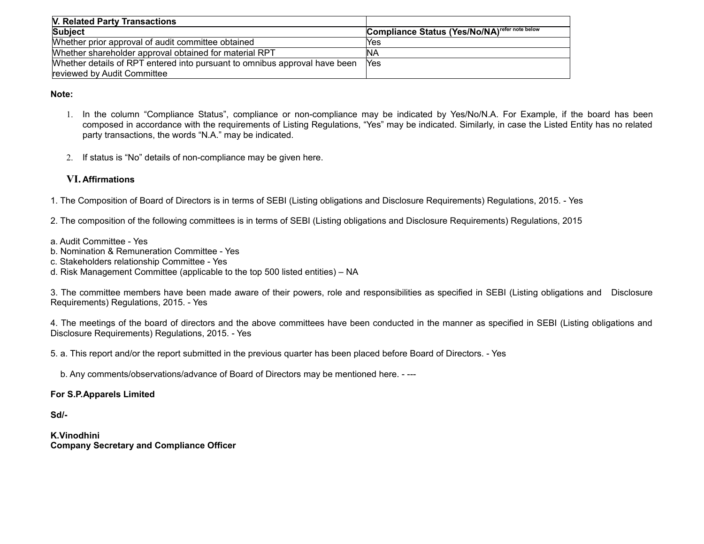| V. Related Party Transactions                                              |                                                           |
|----------------------------------------------------------------------------|-----------------------------------------------------------|
| Subject                                                                    | Compliance Status (Yes/No/NA) <sup>refer note below</sup> |
| Whether prior approval of audit committee obtained                         | lYes                                                      |
| Whether shareholder approval obtained for material RPT                     | ΙNΑ                                                       |
| Whether details of RPT entered into pursuant to omnibus approval have been | <b>Yes</b>                                                |
| reviewed by Audit Committee                                                |                                                           |

**Note:**

- 1. In the column "Compliance Status", compliance or non-compliance may be indicated by Yes/No/N.A. For Example, if the board has been composed in accordance with the requirements of Listing Regulations, "Yes" may be indicated. Similarly, in case the Listed Entity has no related party transactions, the words "N.A." may be indicated.
- 2. If status is "No" details of non-compliance may be given here.

# **VI. Affirmations**

1. The Composition of Board of Directors is in terms of SEBI (Listing obligations and Disclosure Requirements) Regulations, 2015. - Yes

2. The composition of the following committees is in terms of SEBI (Listing obligations and Disclosure Requirements) Regulations, 2015

- a. Audit Committee Yes
- b. Nomination & Remuneration Committee Yes
- c. Stakeholders relationship Committee Yes
- d. Risk Management Committee (applicable to the top 500 listed entities) NA

3. The committee members have been made aware of their powers, role and responsibilities as specified in SEBI (Listing obligations and Disclosure Requirements) Regulations, 2015. - Yes

4. The meetings of the board of directors and the above committees have been conducted in the manner as specified in SEBI (Listing obligations and Disclosure Requirements) Regulations, 2015. - Yes

5. a. This report and/or the report submitted in the previous quarter has been placed before Board of Directors. - Yes

b. Any comments/observations/advance of Board of Directors may be mentioned here. - ---

# **For S.P.Apparels Limited**

**Sd/-**

**K.Vinodhini Company Secretary and Compliance Officer**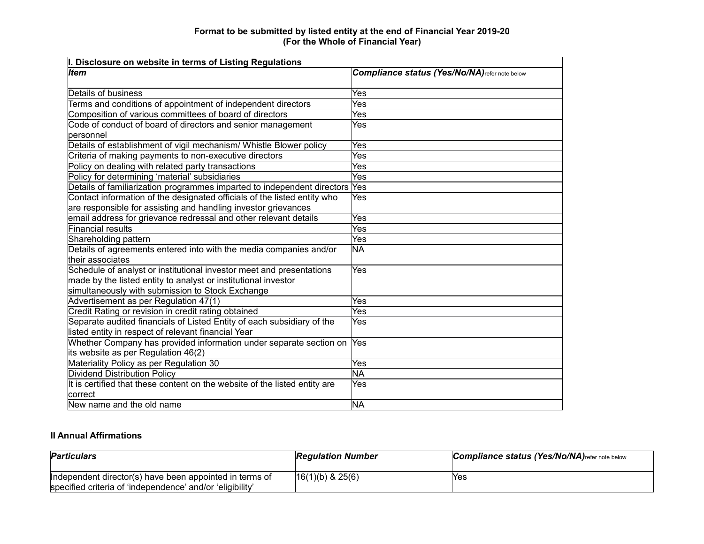### **Format to be submitted by listed entity at the end of Financial Year 2019-20 (For the Whole of Financial Year)**

| I. Disclosure on website in terms of Listing Regulations                    |                                                |  |  |  |  |
|-----------------------------------------------------------------------------|------------------------------------------------|--|--|--|--|
| <b>Item</b>                                                                 | Compliance status (Yes/No/NA) refer note below |  |  |  |  |
|                                                                             |                                                |  |  |  |  |
| Details of business                                                         | Yes                                            |  |  |  |  |
| Terms and conditions of appointment of independent directors                | Yes                                            |  |  |  |  |
| Composition of various committees of board of directors                     | Yes                                            |  |  |  |  |
| Code of conduct of board of directors and senior management                 | Yes                                            |  |  |  |  |
| lpersonnel                                                                  |                                                |  |  |  |  |
| Details of establishment of vigil mechanism/ Whistle Blower policy          | Yes                                            |  |  |  |  |
| Criteria of making payments to non-executive directors                      | Yes                                            |  |  |  |  |
| Policy on dealing with related party transactions                           | Yes                                            |  |  |  |  |
| Policy for determining 'material' subsidiaries                              | Yes                                            |  |  |  |  |
| Details of familiarization programmes imparted to independent directors Yes |                                                |  |  |  |  |
| Contact information of the designated officials of the listed entity who    | Yes                                            |  |  |  |  |
| are responsible for assisting and handling investor grievances              |                                                |  |  |  |  |
| email address for grievance redressal and other relevant details            | Yes                                            |  |  |  |  |
| <b>Financial results</b>                                                    | Yes                                            |  |  |  |  |
| Shareholding pattern                                                        | Yes                                            |  |  |  |  |
| Details of agreements entered into with the media companies and/or          | ΝA                                             |  |  |  |  |
| their associates                                                            |                                                |  |  |  |  |
| Schedule of analyst or institutional investor meet and presentations        | Yes                                            |  |  |  |  |
| made by the listed entity to analyst or institutional investor              |                                                |  |  |  |  |
| simultaneously with submission to Stock Exchange                            |                                                |  |  |  |  |
| Advertisement as per Regulation 47(1)                                       | Yes                                            |  |  |  |  |
| Credit Rating or revision in credit rating obtained                         | Yes                                            |  |  |  |  |
| Separate audited financials of Listed Entity of each subsidiary of the      | Yes                                            |  |  |  |  |
| listed entity in respect of relevant financial Year                         |                                                |  |  |  |  |
| Whether Company has provided information under separate section on          | <b>Yes</b>                                     |  |  |  |  |
| its website as per Regulation 46(2)                                         |                                                |  |  |  |  |
| Materiality Policy as per Regulation 30                                     | Yes                                            |  |  |  |  |
| Dividend Distribution Policy                                                | <b>NA</b>                                      |  |  |  |  |
| It is certified that these content on the website of the listed entity are  | Yes                                            |  |  |  |  |
| <b>correct</b>                                                              |                                                |  |  |  |  |
| New name and the old name                                                   | <b>NA</b>                                      |  |  |  |  |

## **II Annual Affirmations**

| <b>Particulars</b>                                        | <b>Regulation Number</b> | Compliance status (Yes/No/NA) refer note below |
|-----------------------------------------------------------|--------------------------|------------------------------------------------|
| Independent director(s) have been appointed in terms of   | $ 16(1)(b)$ & 25(6)      | <b>Yes</b>                                     |
| specified criteria of 'independence' and/or 'eligibility' |                          |                                                |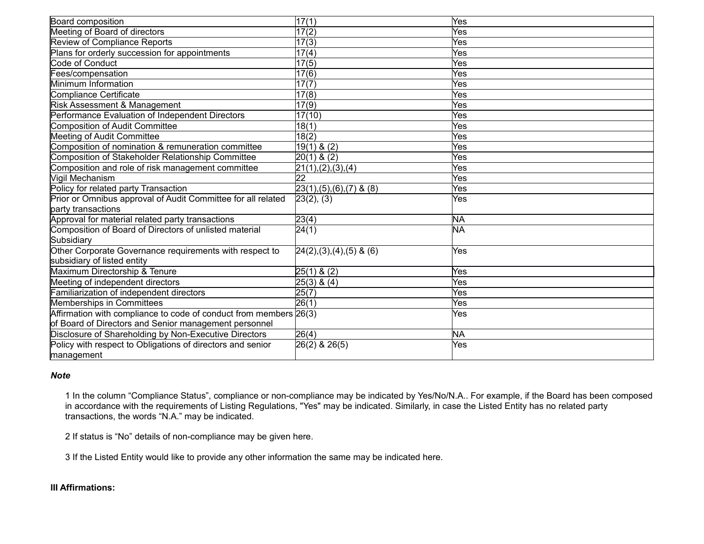| Board composition                                                 | 17(1)                      | Yes       |
|-------------------------------------------------------------------|----------------------------|-----------|
| Meeting of Board of directors                                     | $\overline{17}(2)$         | Yes       |
| <b>Review of Compliance Reports</b>                               | 17(3)                      | Yes       |
| Plans for orderly succession for appointments                     | 17(4)                      | Yes       |
| Code of Conduct                                                   | 17(5)                      | Yes       |
| Fees/compensation                                                 | $\overline{17(6)}$         | Yes       |
| Minimum Information                                               | 17(7)                      | Yes       |
| Compliance Certificate                                            | 17(8)                      | Yes       |
| Risk Assessment & Management                                      | 17(9)                      | Yes       |
| Performance Evaluation of Independent Directors                   | 17(10)                     | Yes       |
| Composition of Audit Committee                                    | 18(1)                      | Yes       |
| Meeting of Audit Committee                                        | $\sqrt{18(2)}$             | Yes       |
| Composition of nomination & remuneration committee                | $19(1)$ & $(2)$            | Yes       |
| Composition of Stakeholder Relationship Committee                 | $20(1)$ & $(2)$            | Yes       |
| Composition and role of risk management committee                 | 21(1), (2), (3), (4)       | Yes       |
| Vigil Mechanism                                                   | 22                         | Yes       |
| Policy for related party Transaction                              | $23(1),(5),(6),(7)$ & (8)  | Yes       |
| Prior or Omnibus approval of Audit Committee for all related      | 23(2), (3)                 | Yes       |
| party transactions                                                |                            |           |
| Approval for material related party transactions                  | 23(4)                      | <b>NA</b> |
| Composition of Board of Directors of unlisted material            | 24(1)                      | <b>NA</b> |
| Subsidiary                                                        |                            |           |
| Other Corporate Governance requirements with respect to           | $[24(2),(3),(4),(5)$ & (6) | Yes       |
| subsidiary of listed entity                                       |                            |           |
| Maximum Directorship & Tenure                                     | $25(1)$ & (2)              | Yes       |
| Meeting of independent directors                                  | $25(3)$ & $(4)$            | Yes       |
| Familiarization of independent directors                          | 25(7)                      | Yes       |
| <b>Memberships in Committees</b>                                  | 26(1)                      | Yes       |
| Affirmation with compliance to code of conduct from members 26(3) |                            | Yes       |
| of Board of Directors and Senior management personnel             |                            |           |
| Disclosure of Shareholding by Non-Executive Directors             | 26(4)                      | <b>NA</b> |
| Policy with respect to Obligations of directors and senior        | $26(2)$ & $26(5)$          | Yes       |
| management                                                        |                            |           |

#### *Note*

1 In the column "Compliance Status", compliance or non-compliance may be indicated by Yes/No/N.A.. For example, if the Board has been composed in accordance with the requirements of Listing Regulations, "Yes" may be indicated. Similarly, in case the Listed Entity has no related party transactions, the words "N.A." may be indicated.

2 If status is "No" details of non-compliance may be given here.

3 If the Listed Entity would like to provide any other information the same may be indicated here.

# **III Affirmations:**